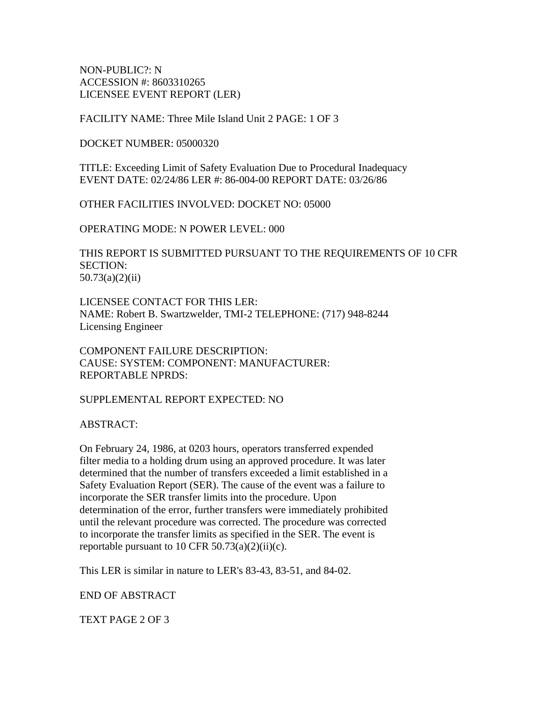NON-PUBLIC?: N ACCESSION #: 8603310265 LICENSEE EVENT REPORT (LER)

FACILITY NAME: Three Mile Island Unit 2 PAGE: 1 OF 3

DOCKET NUMBER: 05000320

TITLE: Exceeding Limit of Safety Evaluation Due to Procedural Inadequacy EVENT DATE: 02/24/86 LER #: 86-004-00 REPORT DATE: 03/26/86

OTHER FACILITIES INVOLVED: DOCKET NO: 05000

OPERATING MODE: N POWER LEVEL: 000

THIS REPORT IS SUBMITTED PURSUANT TO THE REQUIREMENTS OF 10 CFR SECTION: 50.73(a)(2)(ii)

LICENSEE CONTACT FOR THIS LER: NAME: Robert B. Swartzwelder, TMI-2 TELEPHONE: (717) 948-8244 Licensing Engineer

COMPONENT FAILURE DESCRIPTION: CAUSE: SYSTEM: COMPONENT: MANUFACTURER: REPORTABLE NPRDS:

SUPPLEMENTAL REPORT EXPECTED: NO

ABSTRACT:

On February 24, 1986, at 0203 hours, operators transferred expended filter media to a holding drum using an approved procedure. It was later determined that the number of transfers exceeded a limit established in a Safety Evaluation Report (SER). The cause of the event was a failure to incorporate the SER transfer limits into the procedure. Upon determination of the error, further transfers were immediately prohibited until the relevant procedure was corrected. The procedure was corrected to incorporate the transfer limits as specified in the SER. The event is reportable pursuant to 10 CFR  $50.73(a)(2)(ii)(c)$ .

This LER is similar in nature to LER's 83-43, 83-51, and 84-02.

END OF ABSTRACT

TEXT PAGE 2 OF 3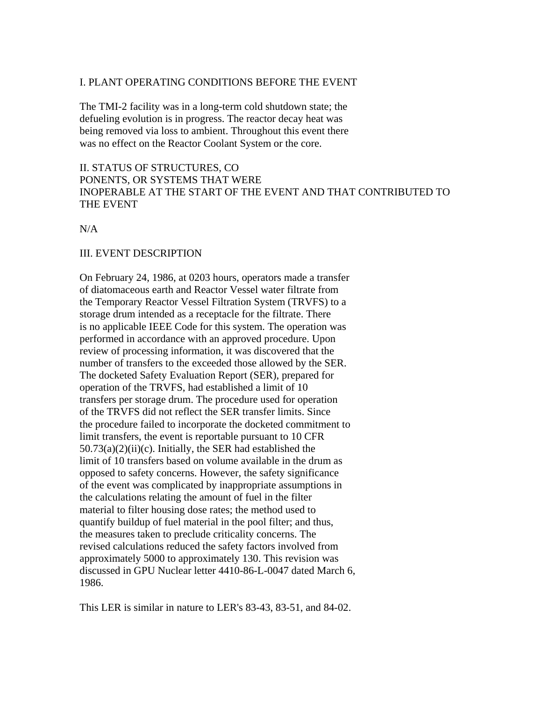#### I. PLANT OPERATING CONDITIONS BEFORE THE EVENT

The TMI-2 facility was in a long-term cold shutdown state; the defueling evolution is in progress. The reactor decay heat was being removed via loss to ambient. Throughout this event there was no effect on the Reactor Coolant System or the core.

# II. STATUS OF STRUCTURES, CO PONENTS, OR SYSTEMS THAT WERE INOPERABLE AT THE START OF THE EVENT AND THAT CONTRIBUTED TO THE EVENT

N/A

### III. EVENT DESCRIPTION

On February 24, 1986, at 0203 hours, operators made a transfer of diatomaceous earth and Reactor Vessel water filtrate from the Temporary Reactor Vessel Filtration System (TRVFS) to a storage drum intended as a receptacle for the filtrate. There is no applicable IEEE Code for this system. The operation was performed in accordance with an approved procedure. Upon review of processing information, it was discovered that the number of transfers to the exceeded those allowed by the SER. The docketed Safety Evaluation Report (SER), prepared for operation of the TRVFS, had established a limit of 10 transfers per storage drum. The procedure used for operation of the TRVFS did not reflect the SER transfer limits. Since the procedure failed to incorporate the docketed commitment to limit transfers, the event is reportable pursuant to 10 CFR  $50.73(a)(2)(ii)(c)$ . Initially, the SER had established the limit of 10 transfers based on volume available in the drum as opposed to safety concerns. However, the safety significance of the event was complicated by inappropriate assumptions in the calculations relating the amount of fuel in the filter material to filter housing dose rates; the method used to quantify buildup of fuel material in the pool filter; and thus, the measures taken to preclude criticality concerns. The revised calculations reduced the safety factors involved from approximately 5000 to approximately 130. This revision was discussed in GPU Nuclear letter 4410-86-L-0047 dated March 6, 1986.

This LER is similar in nature to LER's 83-43, 83-51, and 84-02.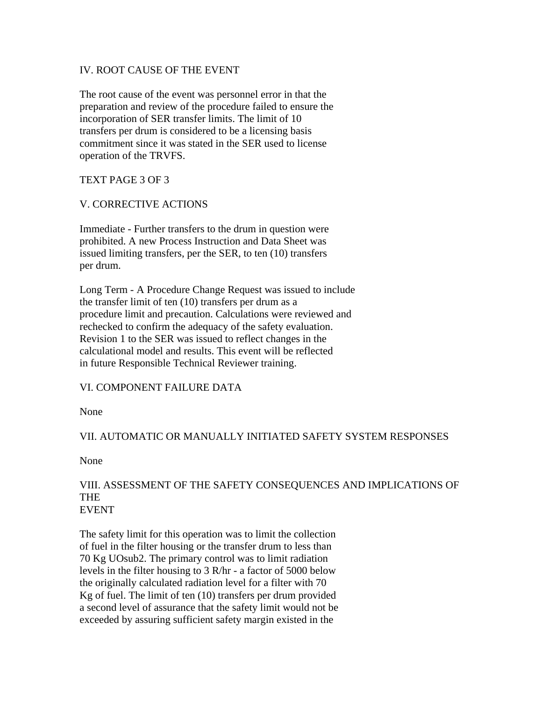# IV. ROOT CAUSE OF THE EVENT

The root cause of the event was personnel error in that the preparation and review of the procedure failed to ensure the incorporation of SER transfer limits. The limit of 10 transfers per drum is considered to be a licensing basis commitment since it was stated in the SER used to license operation of the TRVFS.

# TEXT PAGE 3 OF 3

# V. CORRECTIVE ACTIONS

Immediate - Further transfers to the drum in question were prohibited. A new Process Instruction and Data Sheet was issued limiting transfers, per the SER, to ten (10) transfers per drum.

Long Term - A Procedure Change Request was issued to include the transfer limit of ten (10) transfers per drum as a procedure limit and precaution. Calculations were reviewed and rechecked to confirm the adequacy of the safety evaluation. Revision 1 to the SER was issued to reflect changes in the calculational model and results. This event will be reflected in future Responsible Technical Reviewer training.

# VI. COMPONENT FAILURE DATA

None

# VII. AUTOMATIC OR MANUALLY INITIATED SAFETY SYSTEM RESPONSES

None

### VIII. ASSESSMENT OF THE SAFETY CONSEQUENCES AND IMPLICATIONS OF THE EVENT

The safety limit for this operation was to limit the collection of fuel in the filter housing or the transfer drum to less than 70 Kg UOsub2. The primary control was to limit radiation levels in the filter housing to 3 R/hr - a factor of 5000 below the originally calculated radiation level for a filter with 70 Kg of fuel. The limit of ten (10) transfers per drum provided a second level of assurance that the safety limit would not be exceeded by assuring sufficient safety margin existed in the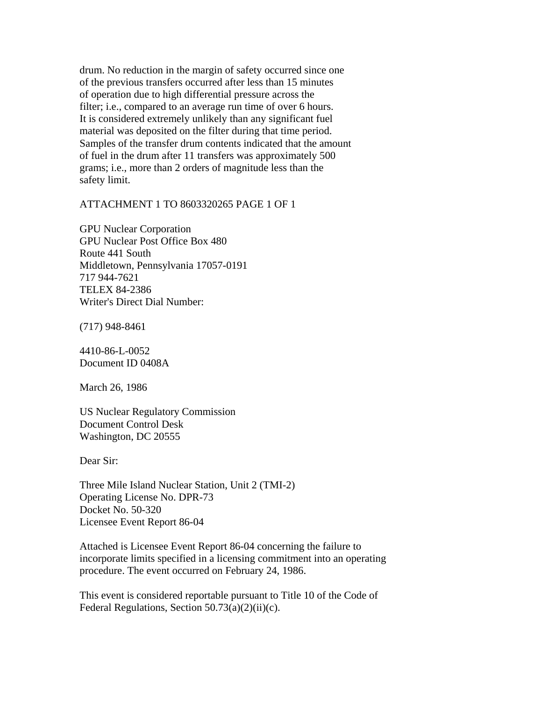drum. No reduction in the margin of safety occurred since one of the previous transfers occurred after less than 15 minutes of operation due to high differential pressure across the filter; i.e., compared to an average run time of over 6 hours. It is considered extremely unlikely than any significant fuel material was deposited on the filter during that time period. Samples of the transfer drum contents indicated that the amount of fuel in the drum after 11 transfers was approximately 500 grams; i.e., more than 2 orders of magnitude less than the safety limit.

ATTACHMENT 1 TO 8603320265 PAGE 1 OF 1

GPU Nuclear Corporation GPU Nuclear Post Office Box 480 Route 441 South Middletown, Pennsylvania 17057-0191 717 944-7621 TELEX 84-2386 Writer's Direct Dial Number:

(717) 948-8461

4410-86-L-0052 Document ID 0408A

March 26, 1986

US Nuclear Regulatory Commission Document Control Desk Washington, DC 20555

Dear Sir:

Three Mile Island Nuclear Station, Unit 2 (TMI-2) Operating License No. DPR-73 Docket No. 50-320 Licensee Event Report 86-04

Attached is Licensee Event Report 86-04 concerning the failure to incorporate limits specified in a licensing commitment into an operating procedure. The event occurred on February 24, 1986.

This event is considered reportable pursuant to Title 10 of the Code of Federal Regulations, Section 50.73(a)(2)(ii)(c).